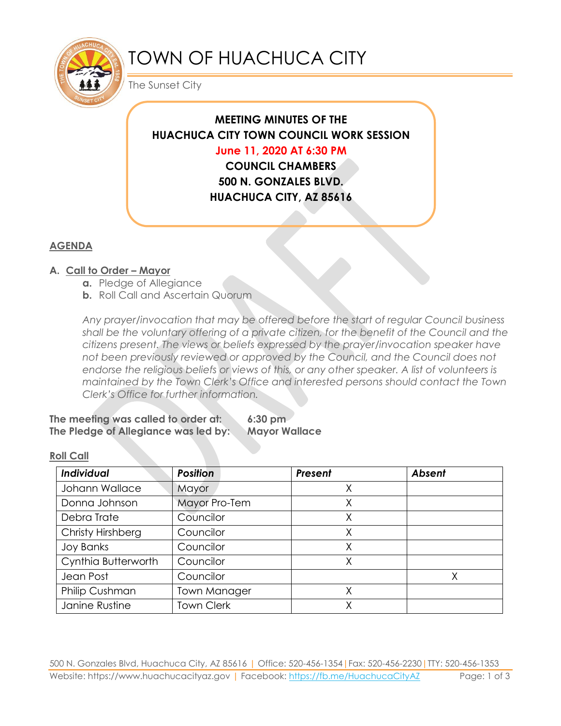

# TOWN OF HUACHUCA CITY

The Sunset City

# **MEETING MINUTES OF THE HUACHUCA CITY TOWN COUNCIL WORK SESSION**

# **June 11, 2020 AT 6:30 PM**

**COUNCIL CHAMBERS 500 N. GONZALES BLVD. HUACHUCA CITY, AZ 85616**

# **AGENDA**

# **A. Call to Order – Mayor**

- **a.** Pledge of Allegiance
- **b.** Roll Call and Ascertain Quorum

*Any prayer/invocation that may be offered before the start of regular Council business shall be the voluntary offering of a private citizen, for the benefit of the Council and the citizens present. The views or beliefs expressed by the prayer/invocation speaker have not been previously reviewed or approved by the Council, and the Council does not endorse the religious beliefs or views of this, or any other speaker. A list of volunteers is maintained by the Town Clerk's Office and interested persons should contact the Town Clerk's Office for further information.*

#### **The meeting was called to order at: 6:30 pm The Pledge of Allegiance was led by: Mayor Wallace**

#### **Roll Call**

| Individual            | <b>Position</b>   | Present | <b>Absent</b> |
|-----------------------|-------------------|---------|---------------|
| Johann Wallace        | Mayor             |         |               |
| Donna Johnson         | Mayor Pro-Tem     | Χ       |               |
| Debra Trate           | Councilor         | Χ       |               |
| Christy Hirshberg     | Councilor         | Χ       |               |
| <b>Joy Banks</b>      | Councilor         | Χ       |               |
| Cynthia Butterworth   | Councilor         | Χ       |               |
| Jean Post             | Councilor         |         | Χ             |
| <b>Philip Cushman</b> | Town Manager      |         |               |
| Janine Rustine        | <b>Town Clerk</b> | Χ       |               |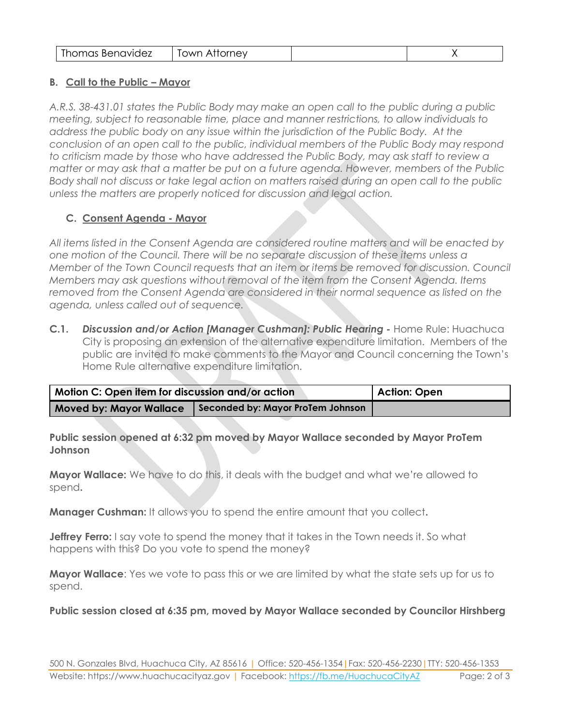| Thomas Benavidez | Town Attorney |  |  |
|------------------|---------------|--|--|
|------------------|---------------|--|--|

#### **B. Call to the Public – Mayor**

*A.R.S. 38-431.01 states the Public Body may make an open call to the public during a public meeting, subject to reasonable time, place and manner restrictions, to allow individuals to address the public body on any issue within the jurisdiction of the Public Body. At the conclusion of an open call to the public, individual members of the Public Body may respond to criticism made by those who have addressed the Public Body, may ask staff to review a matter or may ask that a matter be put on a future agenda. However, members of the Public Body shall not discuss or take legal action on matters raised during an open call to the public unless the matters are properly noticed for discussion and legal action.*

### **C. Consent Agenda - Mayor**

*All items listed in the Consent Agenda are considered routine matters and will be enacted by one motion of the Council. There will be no separate discussion of these items unless a Member of the Town Council requests that an item or items be removed for discussion. Council Members may ask questions without removal of the item from the Consent Agenda. Items removed from the Consent Agenda are considered in their normal sequence as listed on the agenda, unless called out of sequence.*

**C.1.** *Discussion and/or Action [Manager Cushman]: Public Hearing -* Home Rule: Huachuca City is proposing an extension of the alternative expenditure limitation. Members of the public are invited to make comments to the Mayor and Council concerning the Town's Home Rule alternative expenditure limitation.

| Motion C: Open item for discussion and/or action | Action: Open                      |  |
|--------------------------------------------------|-----------------------------------|--|
| <b>Moved by: Mayor Wallace</b>                   | Seconded by: Mayor ProTem Johnson |  |

#### **Public session opened at 6:32 pm moved by Mayor Wallace seconded by Mayor ProTem Johnson**

**Mayor Wallace:** We have to do this, it deals with the budget and what we're allowed to spend**.**

**Manager Cushman:** It allows you to spend the entire amount that you collect**.** 

**Jeffrey Ferro:** I say vote to spend the money that it takes in the Town needs it. So what happens with this? Do you vote to spend the money?

**Mayor Wallace**: Yes we vote to pass this or we are limited by what the state sets up for us to spend.

**Public session closed at 6:35 pm, moved by Mayor Wallace seconded by Councilor Hirshberg**